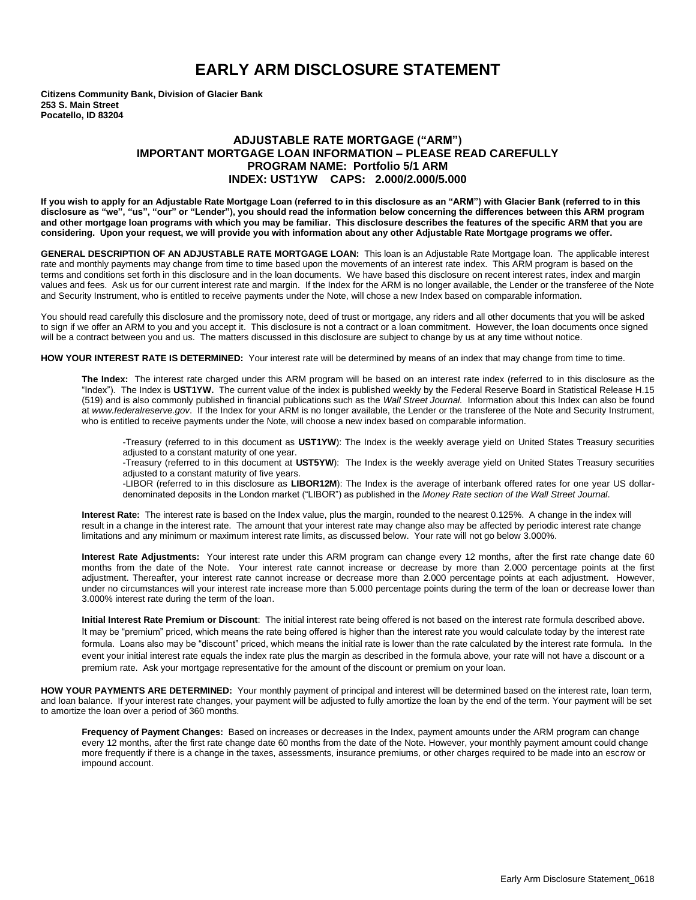## **EARLY ARM DISCLOSURE STATEMENT**

**Citizens Community Bank, Division of Glacier Bank 253 S. Main Street Pocatello, ID 83204**

## **ADJUSTABLE RATE MORTGAGE ("ARM") IMPORTANT MORTGAGE LOAN INFORMATION – PLEASE READ CAREFULLY PROGRAM NAME: Portfolio 5/1 ARM INDEX: UST1YW CAPS: 2.000/2.000/5.000**

**If you wish to apply for an Adjustable Rate Mortgage Loan (referred to in this disclosure as an "ARM") with Glacier Bank (referred to in this disclosure as "we", "us", "our" or "Lender"), you should read the information below concerning the differences between this ARM program and other mortgage loan programs with which you may be familiar. This disclosure describes the features of the specific ARM that you are considering. Upon your request, we will provide you with information about any other Adjustable Rate Mortgage programs we offer.** 

**GENERAL DESCRIPTION OF AN ADJUSTABLE RATE MORTGAGE LOAN:** This loan is an Adjustable Rate Mortgage loan. The applicable interest rate and monthly payments may change from time to time based upon the movements of an interest rate index. This ARM program is based on the terms and conditions set forth in this disclosure and in the loan documents. We have based this disclosure on recent interest rates, index and margin values and fees. Ask us for our current interest rate and margin. If the Index for the ARM is no longer available, the Lender or the transferee of the Note and Security Instrument, who is entitled to receive payments under the Note, will chose a new Index based on comparable information.

You should read carefully this disclosure and the promissory note, deed of trust or mortgage, any riders and all other documents that you will be asked to sign if we offer an ARM to you and you accept it. This disclosure is not a contract or a loan commitment. However, the loan documents once signed will be a contract between you and us. The matters discussed in this disclosure are subject to change by us at any time without notice.

**HOW YOUR INTEREST RATE IS DETERMINED:** Your interest rate will be determined by means of an index that may change from time to time.

**The Index:** The interest rate charged under this ARM program will be based on an interest rate index (referred to in this disclosure as the "Index"). The Index is **UST1YW.** The current value of the index is published weekly by the Federal Reserve Board in Statistical Release H.15 (519) and is also commonly published in financial publications such as the *Wall Street Journal.* Information about this Index can also be found at *www.federalreserve.gov*. If the Index for your ARM is no longer available, the Lender or the transferee of the Note and Security Instrument, who is entitled to receive payments under the Note, will choose a new index based on comparable information.

-Treasury (referred to in this document as **UST1YW**): The Index is the weekly average yield on United States Treasury securities adjusted to a constant maturity of one year.

-Treasury (referred to in this document at **UST5YW**): The Index is the weekly average yield on United States Treasury securities adjusted to a constant maturity of five years.

-LIBOR (referred to in this disclosure as **LIBOR12M**): The Index is the average of interbank offered rates for one year US dollardenominated deposits in the London market ("LIBOR") as published in the *Money Rate section of the Wall Street Journal*.

**Interest Rate:** The interest rate is based on the Index value, plus the margin, rounded to the nearest 0.125%. A change in the index will result in a change in the interest rate. The amount that your interest rate may change also may be affected by periodic interest rate change limitations and any minimum or maximum interest rate limits, as discussed below. Your rate will not go below 3.000%.

**Interest Rate Adjustments:** Your interest rate under this ARM program can change every 12 months, after the first rate change date 60 months from the date of the Note. Your interest rate cannot increase or decrease by more than 2.000 percentage points at the first adjustment. Thereafter, your interest rate cannot increase or decrease more than 2.000 percentage points at each adjustment. However, under no circumstances will your interest rate increase more than 5.000 percentage points during the term of the loan or decrease lower than 3.000% interest rate during the term of the loan.

**Initial Interest Rate Premium or Discount**: The initial interest rate being offered is not based on the interest rate formula described above. It may be "premium" priced, which means the rate being offered is higher than the interest rate you would calculate today by the interest rate formula. Loans also may be "discount" priced, which means the initial rate is lower than the rate calculated by the interest rate formula. In the event your initial interest rate equals the index rate plus the margin as described in the formula above, your rate will not have a discount or a premium rate. Ask your mortgage representative for the amount of the discount or premium on your loan.

**HOW YOUR PAYMENTS ARE DETERMINED:** Your monthly payment of principal and interest will be determined based on the interest rate, loan term, and loan balance. If your interest rate changes, your payment will be adjusted to fully amortize the loan by the end of the term. Your payment will be set to amortize the loan over a period of 360 months.

**Frequency of Payment Changes:** Based on increases or decreases in the Index, payment amounts under the ARM program can change every 12 months, after the first rate change date 60 months from the date of the Note. However, your monthly payment amount could change more frequently if there is a change in the taxes, assessments, insurance premiums, or other charges required to be made into an escrow or impound account.